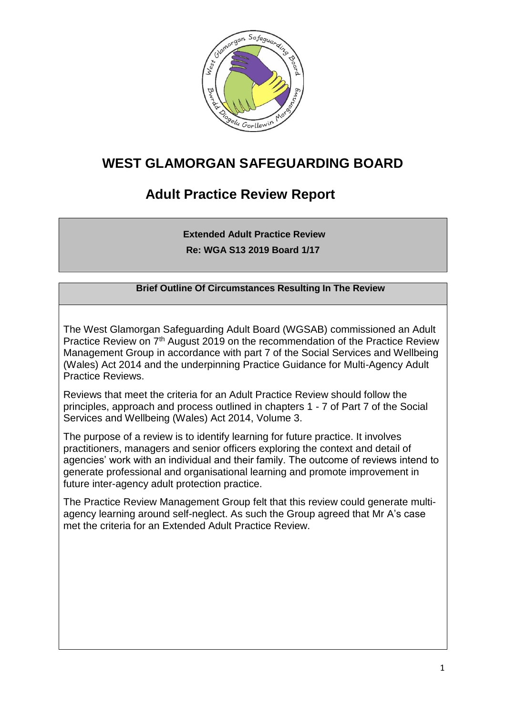

# **WEST GLAMORGAN SAFEGUARDING BOARD**

# **Adult Practice Review Report**

**Extended Adult Practice Review Re: WGA S13 2019 Board 1/17**

### **Brief Outline Of Circumstances Resulting In The Review**

The West Glamorgan Safeguarding Adult Board (WGSAB) commissioned an Adult Practice Review on 7<sup>th</sup> August 2019 on the recommendation of the Practice Review Management Group in accordance with part 7 of the Social Services and Wellbeing (Wales) Act 2014 and the underpinning Practice Guidance for Multi-Agency Adult Practice Reviews.

Reviews that meet the criteria for an Adult Practice Review should follow the principles, approach and process outlined in chapters 1 - 7 of Part 7 of the Social Services and Wellbeing (Wales) Act 2014, Volume 3.

The purpose of a review is to identify learning for future practice. It involves practitioners, managers and senior officers exploring the context and detail of agencies' work with an individual and their family. The outcome of reviews intend to generate professional and organisational learning and promote improvement in future inter-agency adult protection practice.

The Practice Review Management Group felt that this review could generate multiagency learning around self-neglect. As such the Group agreed that Mr A's case met the criteria for an Extended Adult Practice Review.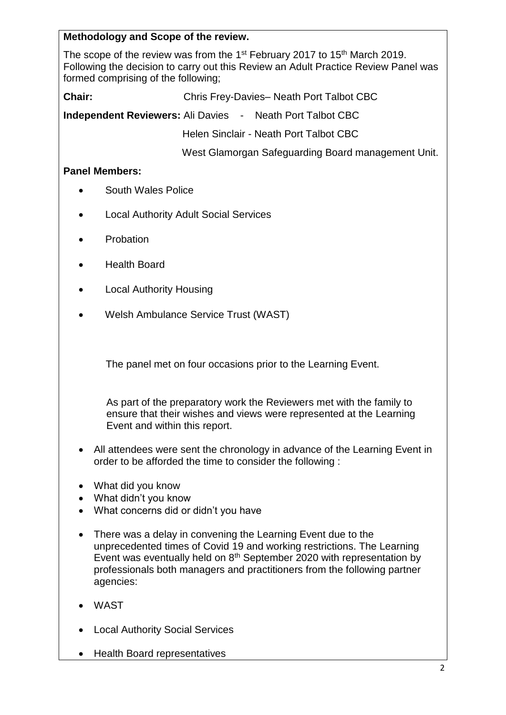## **Methodology and Scope of the review.**

The scope of the review was from the 1<sup>st</sup> February 2017 to 15<sup>th</sup> March 2019. Following the decision to carry out this Review an Adult Practice Review Panel was formed comprising of the following;

**Chair:** Chris Frey-Davies– Neath Port Talbot CBC

**Independent Reviewers:** Ali Davies - Neath Port Talbot CBC

Helen Sinclair - Neath Port Talbot CBC

West Glamorgan Safeguarding Board management Unit.

### **Panel Members:**

- South Wales Police
- Local Authority Adult Social Services
- Probation
- Health Board
- Local Authority Housing
- Welsh Ambulance Service Trust (WAST)

The panel met on four occasions prior to the Learning Event.

As part of the preparatory work the Reviewers met with the family to ensure that their wishes and views were represented at the Learning Event and within this report.

- All attendees were sent the chronology in advance of the Learning Event in order to be afforded the time to consider the following :
- What did you know
- What didn't you know
- What concerns did or didn't you have
- There was a delay in convening the Learning Event due to the unprecedented times of Covid 19 and working restrictions. The Learning Event was eventually held on 8<sup>th</sup> September 2020 with representation by professionals both managers and practitioners from the following partner agencies:
- WAST
- Local Authority Social Services
- Health Board representatives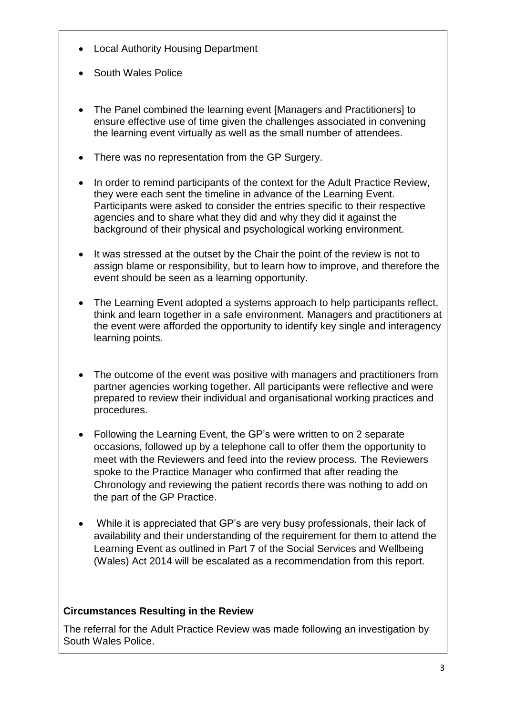- Local Authority Housing Department
- South Wales Police
- The Panel combined the learning event [Managers and Practitioners] to ensure effective use of time given the challenges associated in convening the learning event virtually as well as the small number of attendees.
- There was no representation from the GP Surgery.
- In order to remind participants of the context for the Adult Practice Review, they were each sent the timeline in advance of the Learning Event. Participants were asked to consider the entries specific to their respective agencies and to share what they did and why they did it against the background of their physical and psychological working environment.
- It was stressed at the outset by the Chair the point of the review is not to assign blame or responsibility, but to learn how to improve, and therefore the event should be seen as a learning opportunity.
- The Learning Event adopted a systems approach to help participants reflect, think and learn together in a safe environment. Managers and practitioners at the event were afforded the opportunity to identify key single and interagency learning points.
- The outcome of the event was positive with managers and practitioners from partner agencies working together. All participants were reflective and were prepared to review their individual and organisational working practices and procedures.
- Following the Learning Event, the GP's were written to on 2 separate occasions, followed up by a telephone call to offer them the opportunity to meet with the Reviewers and feed into the review process. The Reviewers spoke to the Practice Manager who confirmed that after reading the Chronology and reviewing the patient records there was nothing to add on the part of the GP Practice.
- While it is appreciated that GP's are very busy professionals, their lack of availability and their understanding of the requirement for them to attend the Learning Event as outlined in Part 7 of the Social Services and Wellbeing (Wales) Act 2014 will be escalated as a recommendation from this report.

# **Circumstances Resulting in the Review**

The referral for the Adult Practice Review was made following an investigation by South Wales Police.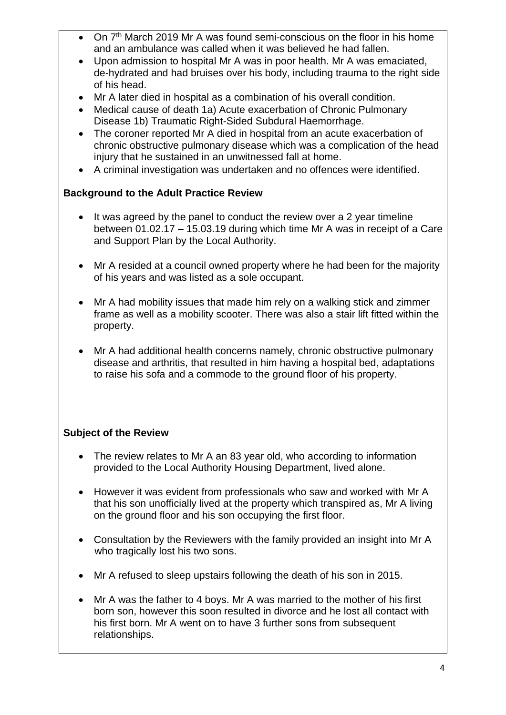- On 7<sup>th</sup> March 2019 Mr A was found semi-conscious on the floor in his home and an ambulance was called when it was believed he had fallen.
- Upon admission to hospital Mr A was in poor health. Mr A was emaciated, de-hydrated and had bruises over his body, including trauma to the right side of his head.
- Mr A later died in hospital as a combination of his overall condition.
- Medical cause of death 1a) Acute exacerbation of Chronic Pulmonary Disease 1b) Traumatic Right-Sided Subdural Haemorrhage.
- The coroner reported Mr A died in hospital from an acute exacerbation of chronic obstructive pulmonary disease which was a complication of the head injury that he sustained in an unwitnessed fall at home.
- A criminal investigation was undertaken and no offences were identified.

# **Background to the Adult Practice Review**

- It was agreed by the panel to conduct the review over a 2 year timeline between 01.02.17 – 15.03.19 during which time Mr A was in receipt of a Care and Support Plan by the Local Authority.
- Mr A resided at a council owned property where he had been for the majority of his years and was listed as a sole occupant.
- Mr A had mobility issues that made him rely on a walking stick and zimmer frame as well as a mobility scooter. There was also a stair lift fitted within the property.
- Mr A had additional health concerns namely, chronic obstructive pulmonary disease and arthritis, that resulted in him having a hospital bed, adaptations to raise his sofa and a commode to the ground floor of his property.

# **Subject of the Review**

- The review relates to Mr A an 83 year old, who according to information provided to the Local Authority Housing Department, lived alone.
- However it was evident from professionals who saw and worked with Mr A that his son unofficially lived at the property which transpired as, Mr A living on the ground floor and his son occupying the first floor.
- Consultation by the Reviewers with the family provided an insight into Mr A who tragically lost his two sons.
- Mr A refused to sleep upstairs following the death of his son in 2015.
- Mr A was the father to 4 boys. Mr A was married to the mother of his first born son, however this soon resulted in divorce and he lost all contact with his first born. Mr A went on to have 3 further sons from subsequent relationships.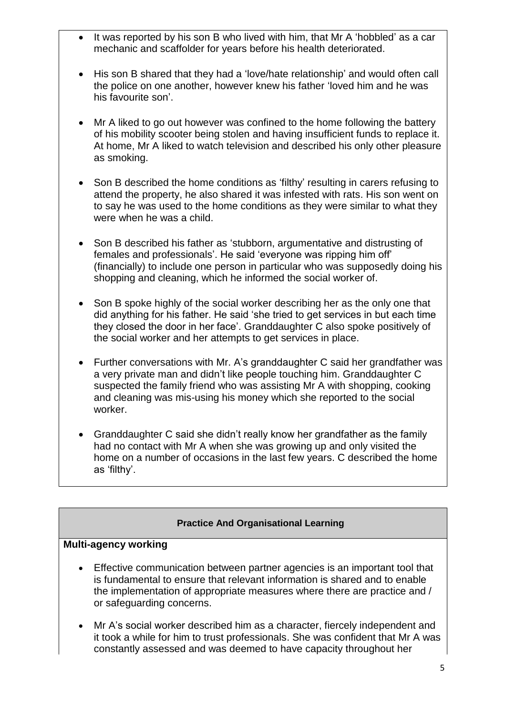- It was reported by his son B who lived with him, that Mr A 'hobbled' as a car mechanic and scaffolder for years before his health deteriorated.
- His son B shared that they had a 'love/hate relationship' and would often call the police on one another, however knew his father 'loved him and he was his favourite son'.
- Mr A liked to go out however was confined to the home following the battery of his mobility scooter being stolen and having insufficient funds to replace it. At home, Mr A liked to watch television and described his only other pleasure as smoking.
- Son B described the home conditions as 'filthy' resulting in carers refusing to attend the property, he also shared it was infested with rats. His son went on to say he was used to the home conditions as they were similar to what they were when he was a child.
- Son B described his father as 'stubborn, argumentative and distrusting of females and professionals'. He said 'everyone was ripping him off' (financially) to include one person in particular who was supposedly doing his shopping and cleaning, which he informed the social worker of.
- Son B spoke highly of the social worker describing her as the only one that did anything for his father. He said 'she tried to get services in but each time they closed the door in her face'. Granddaughter C also spoke positively of the social worker and her attempts to get services in place.
- Further conversations with Mr. A's granddaughter C said her grandfather was a very private man and didn't like people touching him. Granddaughter C suspected the family friend who was assisting Mr A with shopping, cooking and cleaning was mis-using his money which she reported to the social worker.
- Granddaughter C said she didn't really know her grandfather as the family had no contact with Mr A when she was growing up and only visited the home on a number of occasions in the last few years. C described the home as 'filthy'.

### **Practice And Organisational Learning**

#### **Multi-agency working**

- Effective communication between partner agencies is an important tool that is fundamental to ensure that relevant information is shared and to enable the implementation of appropriate measures where there are practice and / or safeguarding concerns.
- Mr A's social worker described him as a character, fiercely independent and it took a while for him to trust professionals. She was confident that Mr A was constantly assessed and was deemed to have capacity throughout her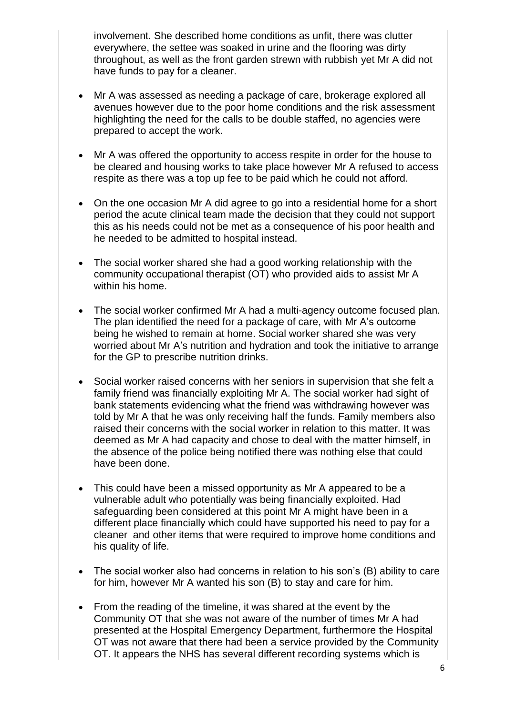involvement. She described home conditions as unfit, there was clutter everywhere, the settee was soaked in urine and the flooring was dirty throughout, as well as the front garden strewn with rubbish yet Mr A did not have funds to pay for a cleaner.

- Mr A was assessed as needing a package of care, brokerage explored all avenues however due to the poor home conditions and the risk assessment highlighting the need for the calls to be double staffed, no agencies were prepared to accept the work.
- Mr A was offered the opportunity to access respite in order for the house to be cleared and housing works to take place however Mr A refused to access respite as there was a top up fee to be paid which he could not afford.
- On the one occasion Mr A did agree to go into a residential home for a short period the acute clinical team made the decision that they could not support this as his needs could not be met as a consequence of his poor health and he needed to be admitted to hospital instead.
- The social worker shared she had a good working relationship with the community occupational therapist (OT) who provided aids to assist Mr A within his home.
- The social worker confirmed Mr A had a multi-agency outcome focused plan. The plan identified the need for a package of care, with Mr A's outcome being he wished to remain at home. Social worker shared she was very worried about Mr A's nutrition and hydration and took the initiative to arrange for the GP to prescribe nutrition drinks.
- Social worker raised concerns with her seniors in supervision that she felt a family friend was financially exploiting Mr A. The social worker had sight of bank statements evidencing what the friend was withdrawing however was told by Mr A that he was only receiving half the funds. Family members also raised their concerns with the social worker in relation to this matter. It was deemed as Mr A had capacity and chose to deal with the matter himself, in the absence of the police being notified there was nothing else that could have been done.
- This could have been a missed opportunity as Mr A appeared to be a vulnerable adult who potentially was being financially exploited. Had safeguarding been considered at this point Mr A might have been in a different place financially which could have supported his need to pay for a cleaner and other items that were required to improve home conditions and his quality of life.
- The social worker also had concerns in relation to his son's (B) ability to care for him, however Mr A wanted his son (B) to stay and care for him.
- From the reading of the timeline, it was shared at the event by the Community OT that she was not aware of the number of times Mr A had presented at the Hospital Emergency Department, furthermore the Hospital OT was not aware that there had been a service provided by the Community OT. It appears the NHS has several different recording systems which is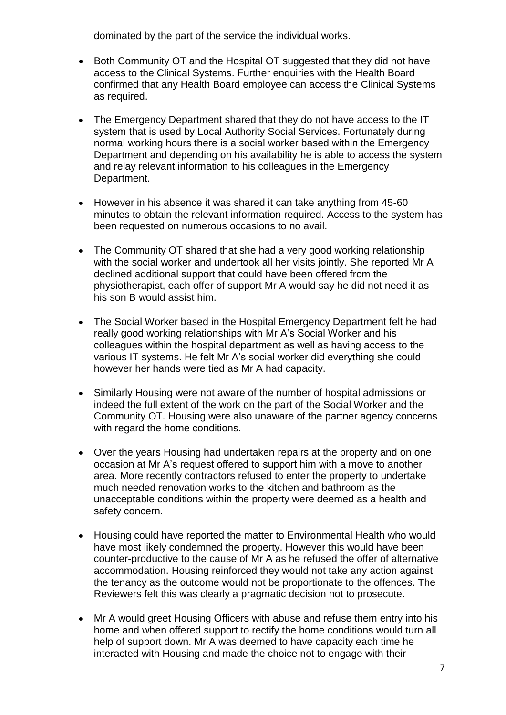dominated by the part of the service the individual works.

- Both Community OT and the Hospital OT suggested that they did not have access to the Clinical Systems. Further enquiries with the Health Board confirmed that any Health Board employee can access the Clinical Systems as required.
- The Emergency Department shared that they do not have access to the IT system that is used by Local Authority Social Services. Fortunately during normal working hours there is a social worker based within the Emergency Department and depending on his availability he is able to access the system and relay relevant information to his colleagues in the Emergency Department.
- However in his absence it was shared it can take anything from 45-60 minutes to obtain the relevant information required. Access to the system has been requested on numerous occasions to no avail.
- The Community OT shared that she had a very good working relationship with the social worker and undertook all her visits jointly. She reported Mr A declined additional support that could have been offered from the physiotherapist, each offer of support Mr A would say he did not need it as his son B would assist him.
- The Social Worker based in the Hospital Emergency Department felt he had really good working relationships with Mr A's Social Worker and his colleagues within the hospital department as well as having access to the various IT systems. He felt Mr A's social worker did everything she could however her hands were tied as Mr A had capacity.
- Similarly Housing were not aware of the number of hospital admissions or indeed the full extent of the work on the part of the Social Worker and the Community OT. Housing were also unaware of the partner agency concerns with regard the home conditions.
- Over the years Housing had undertaken repairs at the property and on one occasion at Mr A's request offered to support him with a move to another area. More recently contractors refused to enter the property to undertake much needed renovation works to the kitchen and bathroom as the unacceptable conditions within the property were deemed as a health and safety concern.
- Housing could have reported the matter to Environmental Health who would have most likely condemned the property. However this would have been counter-productive to the cause of Mr A as he refused the offer of alternative accommodation. Housing reinforced they would not take any action against the tenancy as the outcome would not be proportionate to the offences. The Reviewers felt this was clearly a pragmatic decision not to prosecute.
- Mr A would greet Housing Officers with abuse and refuse them entry into his home and when offered support to rectify the home conditions would turn all help of support down. Mr A was deemed to have capacity each time he interacted with Housing and made the choice not to engage with their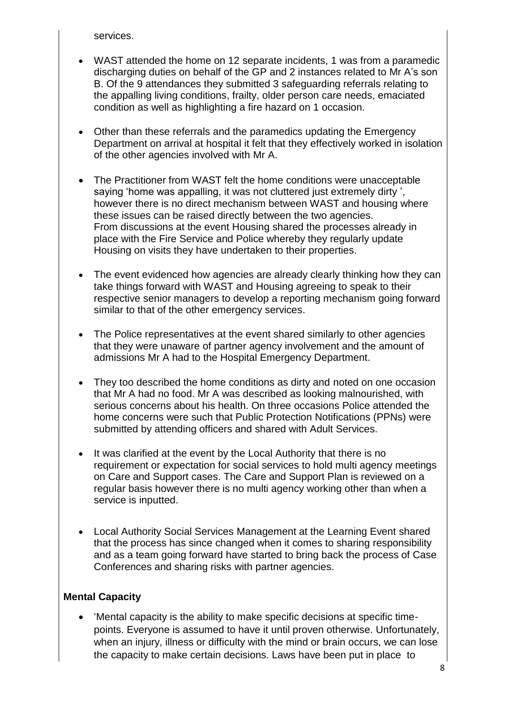services.

- WAST attended the home on 12 separate incidents, 1 was from a paramedic discharging duties on behalf of the GP and 2 instances related to Mr A's son B. Of the 9 attendances they submitted 3 safeguarding referrals relating to the appalling living conditions, frailty, older person care needs, emaciated condition as well as highlighting a fire hazard on 1 occasion.
- Other than these referrals and the paramedics updating the Emergency Department on arrival at hospital it felt that they effectively worked in isolation of the other agencies involved with Mr A.
- The Practitioner from WAST felt the home conditions were unacceptable saying 'home was appalling, it was not cluttered just extremely dirty ', however there is no direct mechanism between WAST and housing where these issues can be raised directly between the two agencies. From discussions at the event Housing shared the processes already in place with the Fire Service and Police whereby they regularly update Housing on visits they have undertaken to their properties.
- The event evidenced how agencies are already clearly thinking how they can take things forward with WAST and Housing agreeing to speak to their respective senior managers to develop a reporting mechanism going forward similar to that of the other emergency services.
- The Police representatives at the event shared similarly to other agencies that they were unaware of partner agency involvement and the amount of admissions Mr A had to the Hospital Emergency Department.
- They too described the home conditions as dirty and noted on one occasion that Mr A had no food. Mr A was described as looking malnourished, with serious concerns about his health. On three occasions Police attended the home concerns were such that Public Protection Notifications (PPNs) were submitted by attending officers and shared with Adult Services.
- It was clarified at the event by the Local Authority that there is no requirement or expectation for social services to hold multi agency meetings on Care and Support cases. The Care and Support Plan is reviewed on a regular basis however there is no multi agency working other than when a service is inputted.
- Local Authority Social Services Management at the Learning Event shared that the process has since changed when it comes to sharing responsibility and as a team going forward have started to bring back the process of Case Conferences and sharing risks with partner agencies.

### **Mental Capacity**

 'Mental capacity is the ability to make specific decisions at specific timepoints. Everyone is assumed to have it until proven otherwise. Unfortunately, when an injury, illness or difficulty with the mind or brain occurs, we can lose the capacity to make certain decisions. Laws have been put in place to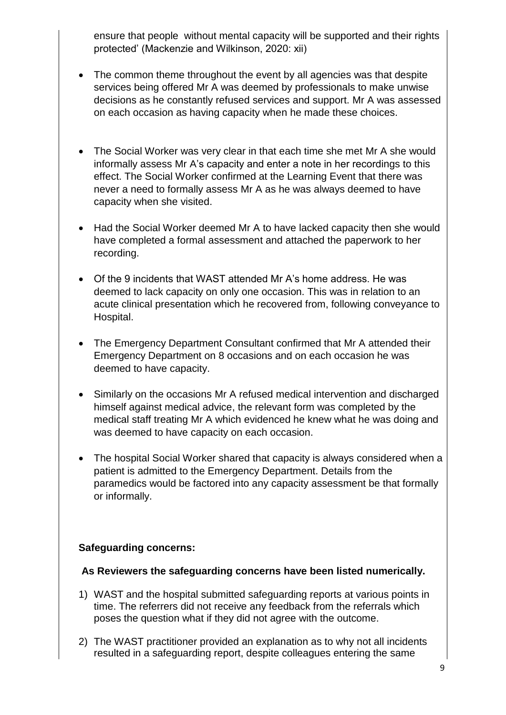ensure that people without mental capacity will be supported and their rights protected' (Mackenzie and Wilkinson, 2020: xii)

- The common theme throughout the event by all agencies was that despite services being offered Mr A was deemed by professionals to make unwise decisions as he constantly refused services and support. Mr A was assessed on each occasion as having capacity when he made these choices.
- The Social Worker was very clear in that each time she met Mr A she would informally assess Mr A's capacity and enter a note in her recordings to this effect. The Social Worker confirmed at the Learning Event that there was never a need to formally assess Mr A as he was always deemed to have capacity when she visited.
- Had the Social Worker deemed Mr A to have lacked capacity then she would have completed a formal assessment and attached the paperwork to her recording.
- Of the 9 incidents that WAST attended Mr A's home address. He was deemed to lack capacity on only one occasion. This was in relation to an acute clinical presentation which he recovered from, following conveyance to Hospital.
- The Emergency Department Consultant confirmed that Mr A attended their Emergency Department on 8 occasions and on each occasion he was deemed to have capacity.
- Similarly on the occasions Mr A refused medical intervention and discharged himself against medical advice, the relevant form was completed by the medical staff treating Mr A which evidenced he knew what he was doing and was deemed to have capacity on each occasion.
- The hospital Social Worker shared that capacity is always considered when a patient is admitted to the Emergency Department. Details from the paramedics would be factored into any capacity assessment be that formally or informally.

### **Safeguarding concerns:**

### **As Reviewers the safeguarding concerns have been listed numerically.**

- 1) WAST and the hospital submitted safeguarding reports at various points in time. The referrers did not receive any feedback from the referrals which poses the question what if they did not agree with the outcome.
- 2) The WAST practitioner provided an explanation as to why not all incidents resulted in a safeguarding report, despite colleagues entering the same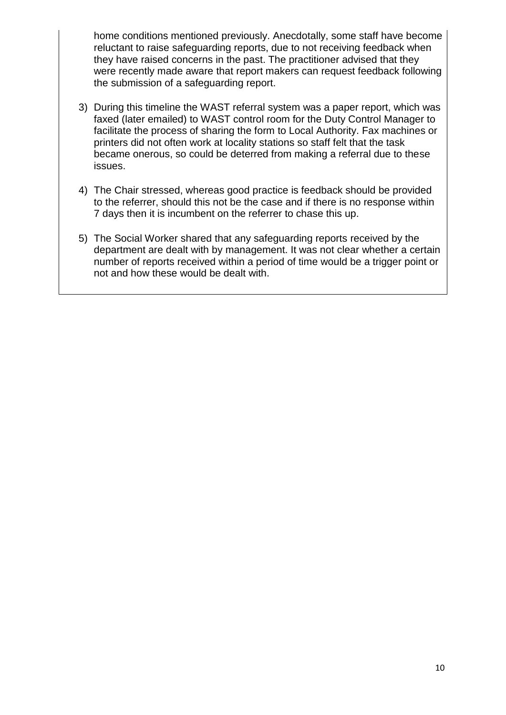home conditions mentioned previously. Anecdotally, some staff have become reluctant to raise safeguarding reports, due to not receiving feedback when they have raised concerns in the past. The practitioner advised that they were recently made aware that report makers can request feedback following the submission of a safeguarding report.

- 3) During this timeline the WAST referral system was a paper report, which was faxed (later emailed) to WAST control room for the Duty Control Manager to facilitate the process of sharing the form to Local Authority. Fax machines or printers did not often work at locality stations so staff felt that the task became onerous, so could be deterred from making a referral due to these issues.
- 4) The Chair stressed, whereas good practice is feedback should be provided to the referrer, should this not be the case and if there is no response within 7 days then it is incumbent on the referrer to chase this up.
- 5) The Social Worker shared that any safeguarding reports received by the department are dealt with by management. It was not clear whether a certain number of reports received within a period of time would be a trigger point or not and how these would be dealt with.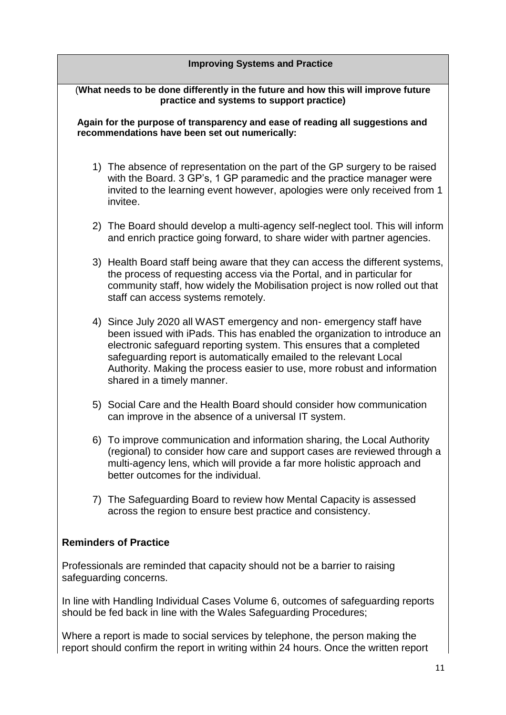# **Improving Systems and Practice** (**What needs to be done differently in the future and how this will improve future practice and systems to support practice) Again for the purpose of transparency and ease of reading all suggestions and recommendations have been set out numerically:**  1) The absence of representation on the part of the GP surgery to be raised with the Board. 3 GP's, 1 GP paramedic and the practice manager were invited to the learning event however, apologies were only received from 1 invitee. 2) The Board should develop a multi-agency self-neglect tool. This will inform and enrich practice going forward, to share wider with partner agencies. 3) Health Board staff being aware that they can access the different systems, the process of requesting access via the Portal, and in particular for community staff, how widely the Mobilisation project is now rolled out that staff can access systems remotely. 4) Since July 2020 all WAST emergency and non- emergency staff have been issued with iPads. This has enabled the organization to introduce an electronic safeguard reporting system. This ensures that a completed safeguarding report is automatically emailed to the relevant Local Authority. Making the process easier to use, more robust and information shared in a timely manner. 5) Social Care and the Health Board should consider how communication can improve in the absence of a universal IT system. 6) To improve communication and information sharing, the Local Authority (regional) to consider how care and support cases are reviewed through a multi-agency lens, which will provide a far more holistic approach and better outcomes for the individual. 7) The Safeguarding Board to review how Mental Capacity is assessed across the region to ensure best practice and consistency. **Reminders of Practice** Professionals are reminded that capacity should not be a barrier to raising

In line with Handling Individual Cases Volume 6, outcomes of safeguarding reports should be fed back in line with the Wales Safeguarding Procedures;

safeguarding concerns.

Where a report is made to social services by telephone, the person making the report should confirm the report in writing within 24 hours. Once the written report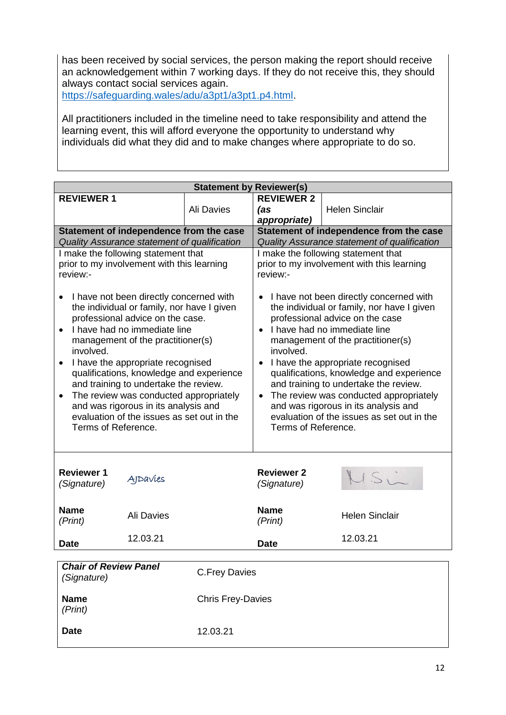has been received by social services, the person making the report should receive an acknowledgement within 7 working days. If they do not receive this, they should always contact social services again.

[https://safeguarding.wales/adu/a3pt1/a3pt1.p4.html.](https://safeguarding.wales/adu/a3pt1/a3pt1.p4.html)

All practitioners included in the timeline need to take responsibility and attend the learning event, this will afford everyone the opportunity to understand why individuals did what they did and to make changes where appropriate to do so.

| <b>Statement by Reviewer(s)</b>                                                                                                                                                                                                                                                                                                                                                                                                                                                                                                                                                                                         |                   |            |                                                                                                                                                                                                                                                                                                                                                                                                                                                                                                                                                                                                                                       |                                         |  |  |  |  |
|-------------------------------------------------------------------------------------------------------------------------------------------------------------------------------------------------------------------------------------------------------------------------------------------------------------------------------------------------------------------------------------------------------------------------------------------------------------------------------------------------------------------------------------------------------------------------------------------------------------------------|-------------------|------------|---------------------------------------------------------------------------------------------------------------------------------------------------------------------------------------------------------------------------------------------------------------------------------------------------------------------------------------------------------------------------------------------------------------------------------------------------------------------------------------------------------------------------------------------------------------------------------------------------------------------------------------|-----------------------------------------|--|--|--|--|
| <b>REVIEWER 1</b>                                                                                                                                                                                                                                                                                                                                                                                                                                                                                                                                                                                                       |                   |            | <b>REVIEWER 2</b>                                                                                                                                                                                                                                                                                                                                                                                                                                                                                                                                                                                                                     |                                         |  |  |  |  |
|                                                                                                                                                                                                                                                                                                                                                                                                                                                                                                                                                                                                                         |                   | Ali Davies | (as                                                                                                                                                                                                                                                                                                                                                                                                                                                                                                                                                                                                                                   | <b>Helen Sinclair</b>                   |  |  |  |  |
|                                                                                                                                                                                                                                                                                                                                                                                                                                                                                                                                                                                                                         |                   |            | appropriate)                                                                                                                                                                                                                                                                                                                                                                                                                                                                                                                                                                                                                          |                                         |  |  |  |  |
| Statement of independence from the case                                                                                                                                                                                                                                                                                                                                                                                                                                                                                                                                                                                 |                   |            |                                                                                                                                                                                                                                                                                                                                                                                                                                                                                                                                                                                                                                       | Statement of independence from the case |  |  |  |  |
| Quality Assurance statement of qualification                                                                                                                                                                                                                                                                                                                                                                                                                                                                                                                                                                            |                   |            | Quality Assurance statement of qualification                                                                                                                                                                                                                                                                                                                                                                                                                                                                                                                                                                                          |                                         |  |  |  |  |
| I make the following statement that<br>prior to my involvement with this learning<br>review:-<br>I have not been directly concerned with<br>$\bullet$<br>the individual or family, nor have I given<br>professional advice on the case.<br>I have had no immediate line<br>management of the practitioner(s)<br>involved.<br>I have the appropriate recognised<br>qualifications, knowledge and experience<br>and training to undertake the review.<br>The review was conducted appropriately<br>$\bullet$<br>and was rigorous in its analysis and<br>evaluation of the issues as set out in the<br>Terms of Reference. |                   |            | I make the following statement that<br>prior to my involvement with this learning<br>review:-<br>I have not been directly concerned with<br>$\bullet$<br>the individual or family, nor have I given<br>professional advice on the case<br>I have had no immediate line<br>$\bullet$<br>management of the practitioner(s)<br>involved.<br>• I have the appropriate recognised<br>qualifications, knowledge and experience<br>and training to undertake the review.<br>The review was conducted appropriately<br>$\bullet$<br>and was rigorous in its analysis and<br>evaluation of the issues as set out in the<br>Terms of Reference. |                                         |  |  |  |  |
| <b>Reviewer 1</b><br>(Signature)                                                                                                                                                                                                                                                                                                                                                                                                                                                                                                                                                                                        | <b>AIDAVIES</b>   |            | <b>Reviewer 2</b><br>(Signature)                                                                                                                                                                                                                                                                                                                                                                                                                                                                                                                                                                                                      | $1.51 -$                                |  |  |  |  |
| <b>Name</b><br>(Print)                                                                                                                                                                                                                                                                                                                                                                                                                                                                                                                                                                                                  | <b>Ali Davies</b> |            | <b>Name</b><br>(Print)                                                                                                                                                                                                                                                                                                                                                                                                                                                                                                                                                                                                                | <b>Helen Sinclair</b>                   |  |  |  |  |
| Date                                                                                                                                                                                                                                                                                                                                                                                                                                                                                                                                                                                                                    | 12.03.21          |            | <b>Date</b>                                                                                                                                                                                                                                                                                                                                                                                                                                                                                                                                                                                                                           | 12.03.21                                |  |  |  |  |
|                                                                                                                                                                                                                                                                                                                                                                                                                                                                                                                                                                                                                         |                   |            |                                                                                                                                                                                                                                                                                                                                                                                                                                                                                                                                                                                                                                       |                                         |  |  |  |  |
| <b>Chair of Review Panel</b><br>(Signature)                                                                                                                                                                                                                                                                                                                                                                                                                                                                                                                                                                             |                   |            | <b>C.Frey Davies</b>                                                                                                                                                                                                                                                                                                                                                                                                                                                                                                                                                                                                                  |                                         |  |  |  |  |
| <b>Name</b><br>(Print)                                                                                                                                                                                                                                                                                                                                                                                                                                                                                                                                                                                                  |                   |            | <b>Chris Frey-Davies</b>                                                                                                                                                                                                                                                                                                                                                                                                                                                                                                                                                                                                              |                                         |  |  |  |  |

**Date** 12.03.21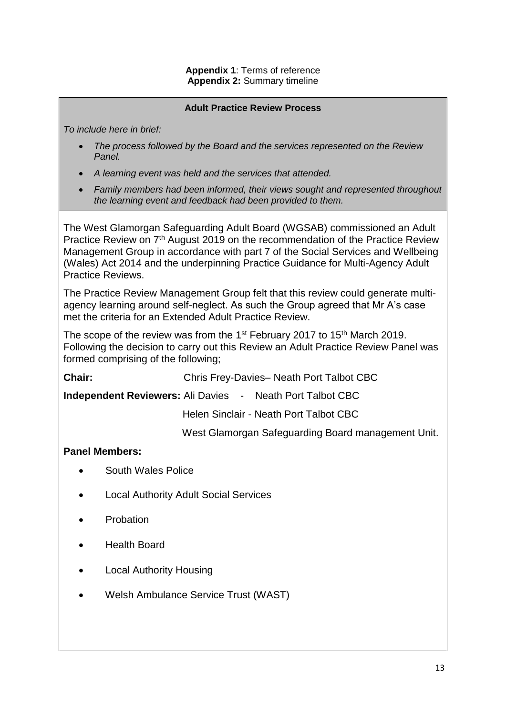#### **Adult Practice Review Process**

*To include here in brief:*

- *The process followed by the Board and the services represented on the Review Panel.*
- *A learning event was held and the services that attended.*
- *Family members had been informed, their views sought and represented throughout the learning event and feedback had been provided to them.*

The West Glamorgan Safeguarding Adult Board (WGSAB) commissioned an Adult Practice Review on 7th August 2019 on the recommendation of the Practice Review Management Group in accordance with part 7 of the Social Services and Wellbeing (Wales) Act 2014 and the underpinning Practice Guidance for Multi-Agency Adult Practice Reviews.

The Practice Review Management Group felt that this review could generate multiagency learning around self-neglect. As such the Group agreed that Mr A's case met the criteria for an Extended Adult Practice Review.

The scope of the review was from the 1<sup>st</sup> February 2017 to 15<sup>th</sup> March 2019. Following the decision to carry out this Review an Adult Practice Review Panel was formed comprising of the following;

**Chair:** Chris Frey-Davies– Neath Port Talbot CBC

**Independent Reviewers:** Ali Davies - Neath Port Talbot CBC

Helen Sinclair - Neath Port Talbot CBC

West Glamorgan Safeguarding Board management Unit.

#### **Panel Members:**

- South Wales Police
- Local Authority Adult Social Services
- Probation
- Health Board
- Local Authority Housing
- Welsh Ambulance Service Trust (WAST)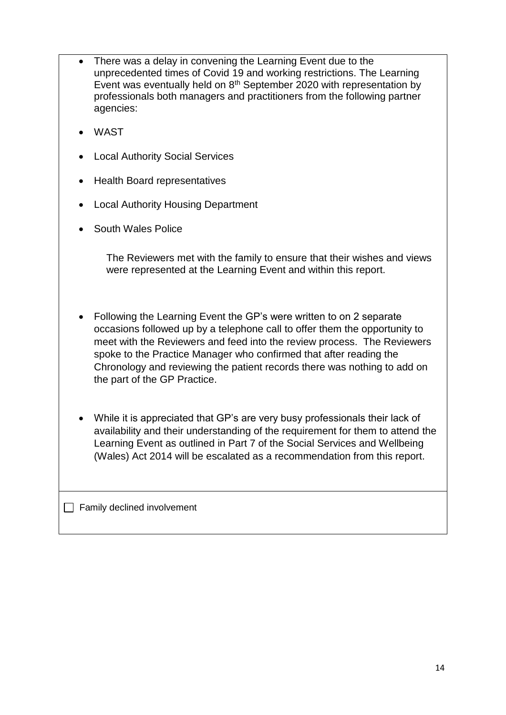- There was a delay in convening the Learning Event due to the unprecedented times of Covid 19 and working restrictions. The Learning Event was eventually held on 8<sup>th</sup> September 2020 with representation by professionals both managers and practitioners from the following partner agencies:
- WAST
- Local Authority Social Services
- Health Board representatives
- Local Authority Housing Department
- South Wales Police

The Reviewers met with the family to ensure that their wishes and views were represented at the Learning Event and within this report.

- Following the Learning Event the GP's were written to on 2 separate occasions followed up by a telephone call to offer them the opportunity to meet with the Reviewers and feed into the review process. The Reviewers spoke to the Practice Manager who confirmed that after reading the Chronology and reviewing the patient records there was nothing to add on the part of the GP Practice.
- While it is appreciated that GP's are very busy professionals their lack of availability and their understanding of the requirement for them to attend the Learning Event as outlined in Part 7 of the Social Services and Wellbeing (Wales) Act 2014 will be escalated as a recommendation from this report.

 $\Box$  Family declined involvement